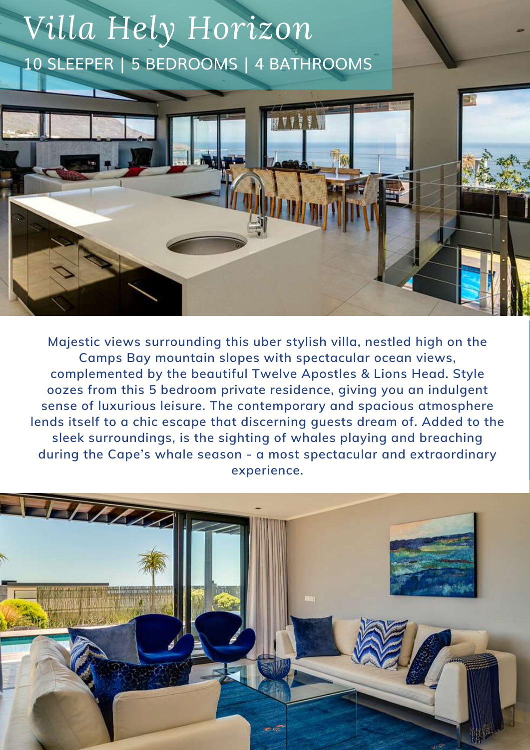# *Villa Hely Horizon* 10 SLEEPER | 5 BEDROOMS | 4 BATHROOMS



**Majestic views surrounding this uber stylish villa, nestled high on the Camps Bay mountain slopes with spectacular ocean views, complemented by the beautiful Twelve Apostles & Lions Head. Style oozes from this 5 bedroom private residence, giving you an indulgent sense of luxurious leisure. The contemporary and spacious atmosphere lends itself to a chic escape that discerning guests dream of. Added to the sleek surroundings, is the sighting of whales playing and breaching during the Cape's whale season - a most spectacular and extraordinary experience.**

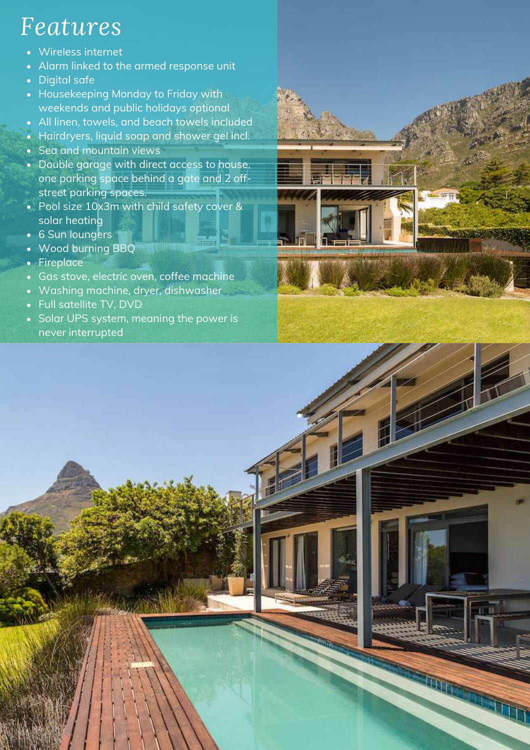# *Features*

- Wireless internet
- Alarm linked to the armed response unit  $\bullet$
- Digital safe
- Housekeeping Monday to Friday with weekends and public holidays optional
- All linen, towels, and beach towels included
- Hairdryers, liquid soap and shower gel incl.
- Sea and mountain views
- Double garage with direct access to house, one parking space behind a gate and 2 offstreet parking spaces.
- Pool size 10x3m with child safety cover & solar heating
- 6 Sun loungers
- Wood burning BBQ  $\bullet$
- Fireplace  $\bullet$
- Gas stove, electric oven, coffee machine
- Washing machine, dryer, dishwasher  $\bullet$
- Full satellite TV, DVD
- Solar UPS system, meaning the power is never interrupted

•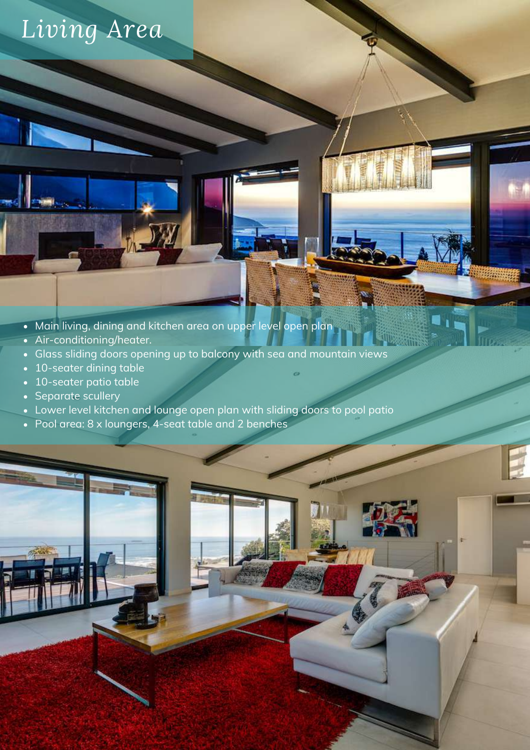# *Living Area*

- Main living, dining and kitchen area on upper level open plan
- Air-conditioning/heater.
- Glass sliding doors opening up to balcony with sea and mountain views
- 10-seater dining table
- 10-seater patio table
- Separate scullery
- Lower level kitchen and lounge open plan with sliding doors to pool patio
- Pool area: 8 x loungers, 4-seat table and 2 benches



省正的

i (III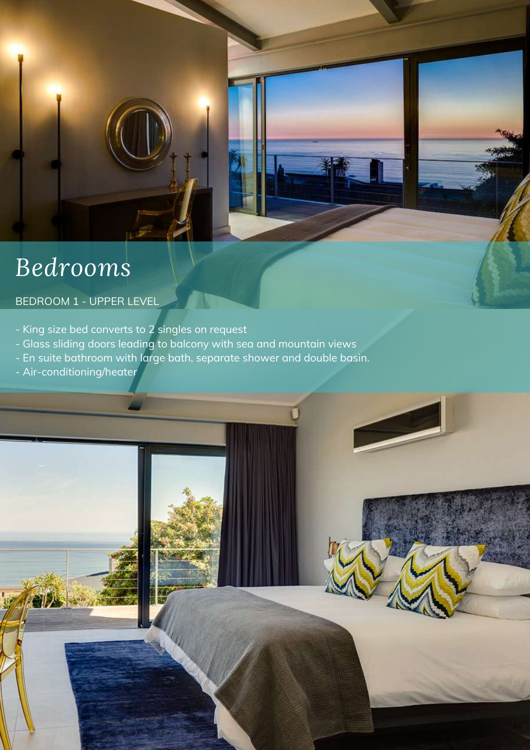# *Bedrooms*

## BEDROOM 1 - UPPER LEVEL

- King size bed converts to 2 singles on request
- Glass sliding doors leading to balcony with sea and mountain views
- En suite bathroom with large bath, separate shower and double basin.
- Air-conditioning/heater

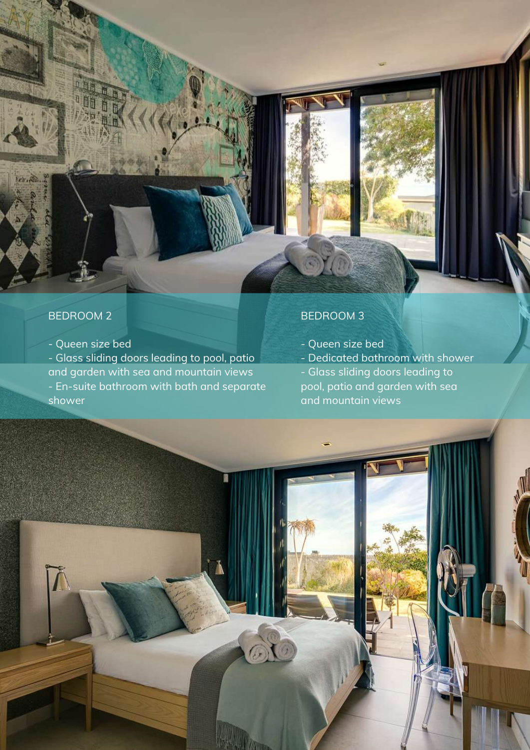## BEDROOM 2

Leh . Sie.

- Queen size bed

- Glass sliding doors leading to pool, patio and garden with sea and mountain views - En-suite bathroom with bath and separate shower

## BEDROOM 3

- Queen size bed
- Dedicated bathroom with shower

- Glass sliding doors leading to pool, patio and garden with sea and mountain views

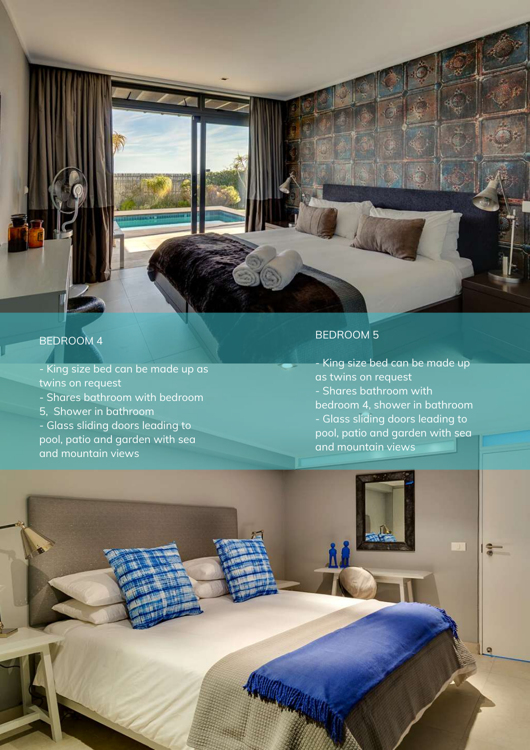### B E D R O O M 4

- King size bed can be made up as twins on request - Shares bathroom with bedroom 5, Shower in bathroom - Glass sliding doors leading to pool, patio and garden with sea and mountain views

#### B E D R O O M 5

- King size bed can be made up as twins on request - Shares bathroom with bedroom 4, shower in bathroom - Gla s s slidin g d o o r s le a din g t o pool, patio and garden with sea and mountain views